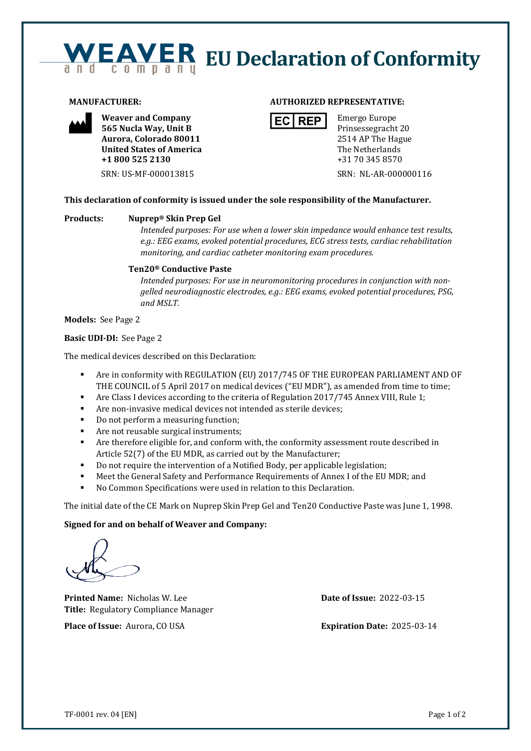# **EAVER** EU Declaration of Conformity



**Weaver and Company 565 Nucla Way, Unit B Aurora, Colorado 80011 United States of America +1 800 525 2130**

# **MANUFACTURER: AUTHORIZED REPRESENTATIVE:**



Emergo Europe Prinsessegracht 20 2514 AP The Hague The Netherlands +31 70 345 8570

SRN: US-MF-000013815 SRN: NL-AR-000000116

# **This declaration of conformity is issued under the sole responsibility of the Manufacturer.**

### **Products: Nuprep® Skin Prep Gel**

*Intended purposes: For use when a lower skin impedance would enhance test results, e.g.: EEG exams, evoked potential procedures, ECG stress tests, cardiac rehabilitation monitoring, and cardiac catheter monitoring exam procedures.*

# **Ten20® Conductive Paste**

*Intended purposes: For use in neuromonitoring procedures in conjunction with nongelled neurodiagnostic electrodes, e.g.: EEG exams, evoked potential procedures, PSG, and MSLT.*

**Models:** See Page 2

#### **Basic UDI-DI:** See Page 2

The medical devices described on this Declaration:

- Are in conformity with REGULATION (EU) 2017/745 OF THE EUROPEAN PARLIAMENT AND OF THE COUNCIL of 5 April 2017 on medical devices ("EU MDR"), as amended from time to time;
- Are Class I devices according to the criteria of Regulation 2017/745 Annex VIII, Rule 1;
- Are non-invasive medical devices not intended as sterile devices;
- Do not perform a measuring function;
- Are not reusable surgical instruments;
- **•** Are therefore eligible for, and conform with, the conformity assessment route described in Article 52(7) of the EU MDR, as carried out by the Manufacturer;
- Do not require the intervention of a Notified Body, per applicable legislation;
- Meet the General Safety and Performance Requirements of Annex I of the EU MDR; and
- No Common Specifications were used in relation to this Declaration.

The initial date of the CE Mark on Nuprep Skin Prep Gel and Ten20 Conductive Paste was June 1, 1998.

### **Signed for and on behalf of Weaver and Company:**

**Printed Name:** Nicholas W. Lee **Date of Issue:** 2022-03-15 **Title:** Regulatory Compliance Manager

**Place of Issue:** Aurora, CO USA **Expiration Date:** 2025-03-14